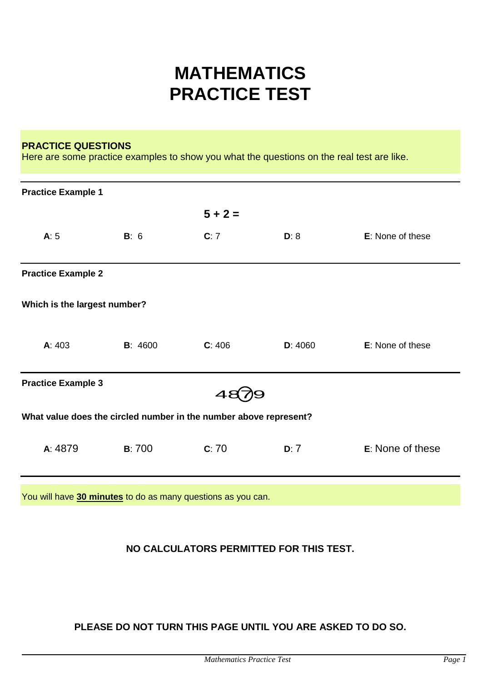# **MATHEMATICS PRACTICE TEST**

#### **PRACTICE QUESTIONS**

Here are some practice examples to show you what the questions on the real test are like.

| <b>Practice Example 1</b>                                         |                 |           |         |                  |  |
|-------------------------------------------------------------------|-----------------|-----------|---------|------------------|--|
|                                                                   |                 | $5 + 2 =$ |         |                  |  |
| A: 5                                                              | B: 6            | C:7       | D: 8    | E: None of these |  |
| <b>Practice Example 2</b>                                         |                 |           |         |                  |  |
| Which is the largest number?                                      |                 |           |         |                  |  |
| A: 403                                                            | <b>B</b> : 4600 | C: 406    | D: 4060 | E: None of these |  |
| <b>Practice Example 3</b>                                         |                 |           |         |                  |  |
| What value does the circled number in the number above represent? |                 |           |         |                  |  |
| A: 4879                                                           | <b>B:700</b>    | C: 70     | D: 7    | E: None of these |  |
|                                                                   |                 |           |         |                  |  |

You will have **30 minutes** to do as many questions as you can.

## **NO CALCULATORS PERMITTED FOR THIS TEST.**

# **PLEASE DO NOT TURN THIS PAGE UNTIL YOU ARE ASKED TO DO SO.**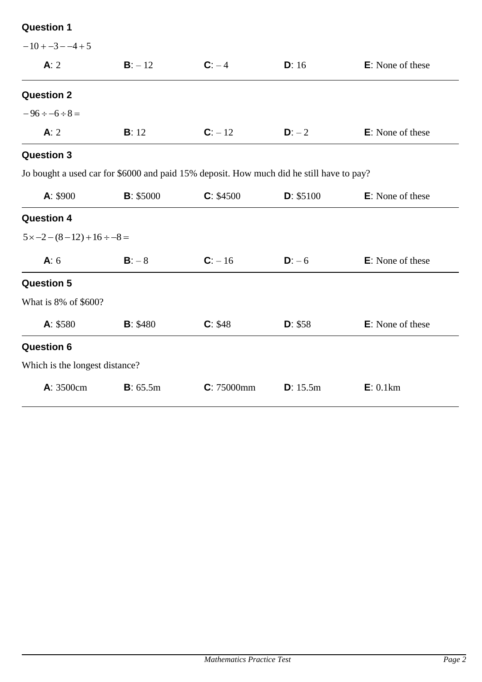| $-10 + -3 - -4 + 5$                     |                   |                                                                                          |           |                          |
|-----------------------------------------|-------------------|------------------------------------------------------------------------------------------|-----------|--------------------------|
| A: 2                                    | $B: -12$          | $C: -4$                                                                                  | D: 16     | <b>E</b> : None of these |
| <b>Question 2</b>                       |                   |                                                                                          |           |                          |
| $-96 \div -6 \div 8 =$                  |                   |                                                                                          |           |                          |
| A: 2                                    | B: 12             | $C: -12$                                                                                 | $D: -2$   | <b>E</b> : None of these |
| <b>Question 3</b>                       |                   |                                                                                          |           |                          |
|                                         |                   | Jo bought a used car for \$6000 and paid 15% deposit. How much did he still have to pay? |           |                          |
| A: \$900                                | <b>B</b> : \$5000 | C: \$4500                                                                                | D: \$5100 | <b>E</b> : None of these |
| <b>Question 4</b>                       |                   |                                                                                          |           |                          |
| $5 \times -2 - (8 - 12) + 16 \div -8 =$ |                   |                                                                                          |           |                          |
| A: 6                                    | $B: -8$           | $C: -16$                                                                                 | $D: -6$   | <b>E</b> : None of these |
| <b>Question 5</b>                       |                   |                                                                                          |           |                          |
| What is 8% of \$600?                    |                   |                                                                                          |           |                          |
| A: \$580                                | <b>B</b> : \$480  | C: \$48                                                                                  | D: \$58   | <b>E</b> : None of these |
| <b>Question 6</b>                       |                   |                                                                                          |           |                          |
| Which is the longest distance?          |                   |                                                                                          |           |                          |
| <b>A</b> : 3500cm                       | B: 65.5m          | C: 75000mm                                                                               | D: 15.5m  | E: 0.1km                 |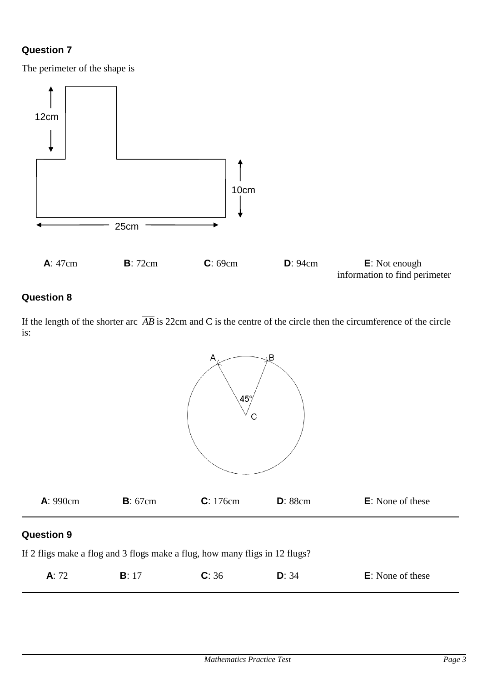The perimeter of the shape is



# **Question 8**

If the length of the shorter arc *AB* is 22cm and C is the centre of the circle then the circumference of the circle is:



## **Question 9**

If 2 fligs make a flog and 3 flogs make a flug, how many fligs in 12 flugs?

| A: 72<br><b>E</b> : None of these<br>C: 36<br>D: 34 |  |
|-----------------------------------------------------|--|
|-----------------------------------------------------|--|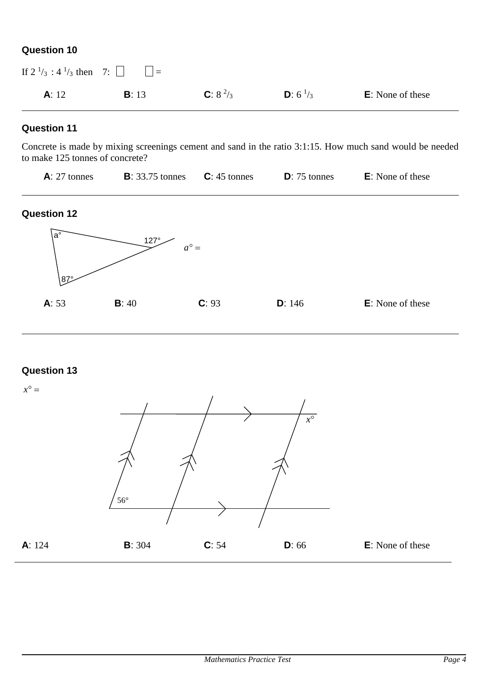| If $2^{1/3}$ : $4^{1/3}$ then 7: $\Box$ $\Box$ = |       |              |                           |                          |
|--------------------------------------------------|-------|--------------|---------------------------|--------------------------|
| A: 12                                            | B: 13 | C: $8^{2}/3$ | <b>D</b> : $6\frac{1}{3}$ | <b>E</b> : None of these |

#### **Question 11**

Concrete is made by mixing screenings cement and sand in the ratio 3:1:15. How much sand would be needed to make 125 tonnes of concrete?

| $A: 27$ tonnes | <b>B</b> : 33.75 tonnes <b>C</b> : 45 tonnes | $D: 75$ tonnes | $E$ : None of these |  |
|----------------|----------------------------------------------|----------------|---------------------|--|
|                |                                              |                |                     |  |

#### **Question 12**



# **Question 13**

 $x^{\circ} =$ **A**: 124 **B**: 304 **C**: 54 **D**: 66 **E**: None of these  $\overline{x^{\circ}}$ 56°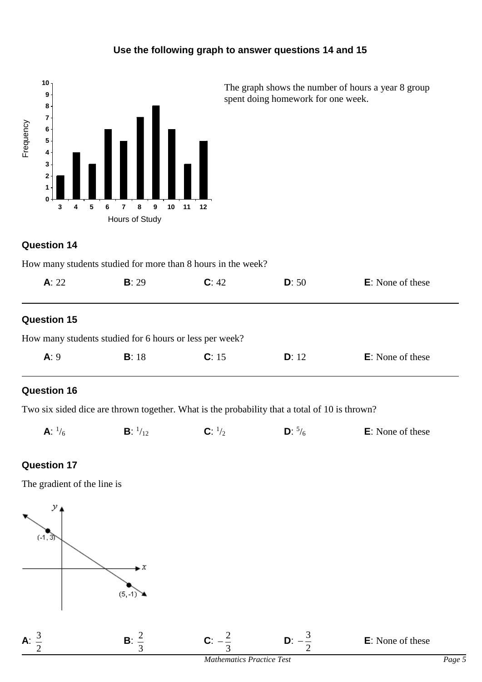# **Use the following graph to answer questions 14 and 15**



The graph shows the number of hours a year 8 group spent doing homework for one week.

## **Question 14**

| How many students studied for more than 8 hours in the week? |  |  |  |
|--------------------------------------------------------------|--|--|--|
|--------------------------------------------------------------|--|--|--|

| A: 22              | <b>B</b> : 29                                           | C: 42 | D: 50 | <b>E</b> : None of these |  |
|--------------------|---------------------------------------------------------|-------|-------|--------------------------|--|
| <b>Question 15</b> |                                                         |       |       |                          |  |
|                    | How many students studied for 6 hours or less per week? |       |       |                          |  |
| A: 9               | B: 18                                                   | C: 15 | D: 12 | <b>E</b> : None of these |  |

## **Question 16**

Two six sided dice are thrown together. What is the probability that a total of 10 is thrown?

| <b>A:</b> $\frac{1}{6}$ | $^{1/12}$ |  |  | <b>E</b> : None of these |
|-------------------------|-----------|--|--|--------------------------|
|-------------------------|-----------|--|--|--------------------------|

## **Question 17**

The gradient of the line is

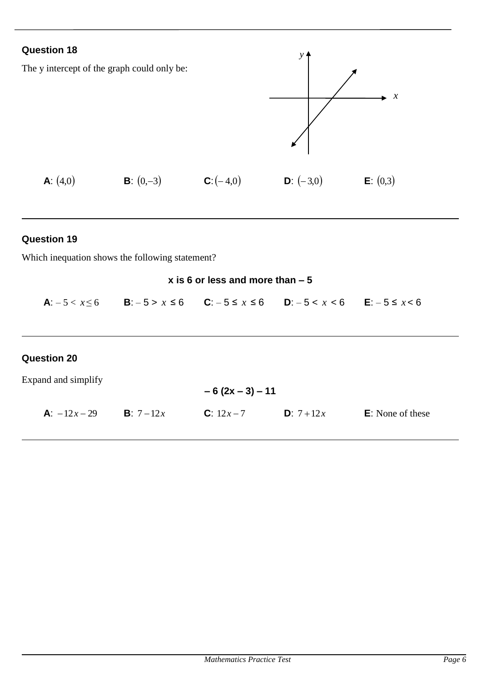

#### **Question 19**

Which inequation shows the following statement?

#### **x is 6 or less and more than – 5**

**A**:  $-5 < x$ ≤ 6 **B**: – 5 > *x* ≤ 6 **C**: – 5 ≤ *x* ≤ 6 **D**:  $-5 < x < 6$  **E**:  $-5 \le x < 6$ 

## **Question 20**

Expand and simplify

**A**: 
$$
-12x-29
$$
 **B**:  $7-12x$  **C**:  $12x-7$  **D**:  $7+12x$  **E**: None of these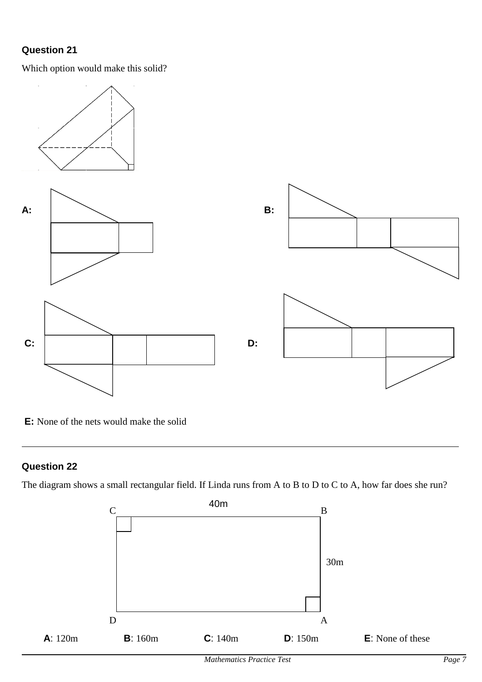Which option would make this solid?



**E:** None of the nets would make the solid

## **Question 22**

The diagram shows a small rectangular field. If Linda runs from A to B to D to C to A, how far does she run?

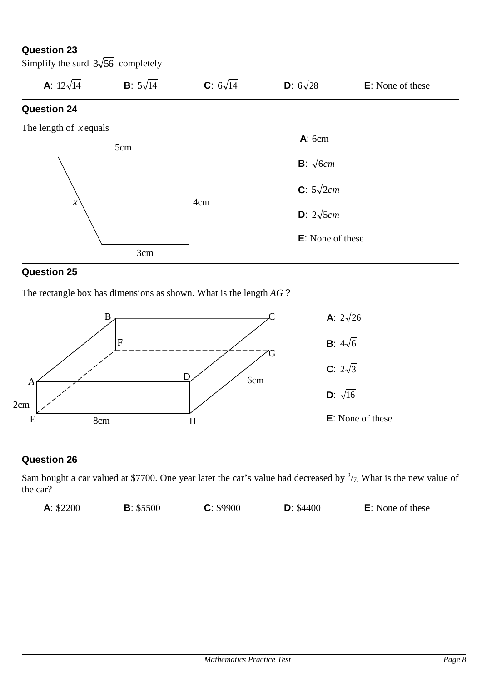Simplify the surd  $3\sqrt{56}$  completely



## **Question 25**

The rectangle box has dimensions as shown. What is the length *AG* ?



## **Question 26**

Sam bought a car valued at \$7700. One year later the car's value had decreased by  $\frac{2}{7}$ . What is the new value of the car?

| A: \$2200 | B: \$5500 | C: \$9900 | D: \$4400 | <b>E</b> : None of these |
|-----------|-----------|-----------|-----------|--------------------------|
|-----------|-----------|-----------|-----------|--------------------------|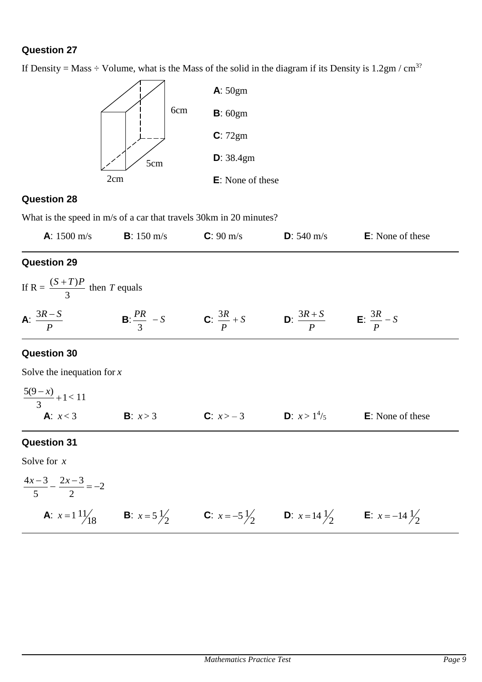If Density = Mass  $\div$  Volume, what is the Mass of the solid in the diagram if its Density is 1.2gm / cm<sup>3?</sup>



## **Question 28**

What is the speed in m/s of a car that travels 30km in 20 minutes?

| <b>A</b> : $1500 \text{ m/s}$ | <b>B</b> : 150 m/s | $C: 90 \text{ m/s}$ | <b>D</b> : 540 m/s | <b>E</b> : None of these |  |
|-------------------------------|--------------------|---------------------|--------------------|--------------------------|--|
|                               |                    |                     |                    |                          |  |

# **Question 29**

If R = 
$$
\frac{(S+T)P}{3}
$$
 then T equals  
\n**A**:  $\frac{3R-S}{P}$  **B**:  $\frac{PR}{3} - S$  **C**:  $\frac{3R}{P} + S$  **D**:  $\frac{3R+S}{P}$  **E**:  $\frac{3R}{P} - S$ 

# **Question 30**

Solve the inequation for *x*

$$
\frac{5(9-x)}{3} + 1 < 11
$$
\n**A**:  $x < 3$  **B**:  $x > 3$  **C**:  $x > -3$  **D**:  $x > 1^{4}/5$  **E**: None of these

# **Question 31**

Solve for *x*

$$
\frac{4x-3}{5} - \frac{2x-3}{2} = -2
$$
\n**A**:  $x = 1 \frac{11}{18}$  \n**B**:  $x = 5 \frac{1}{2}$  \n**C**:  $x = -5 \frac{1}{2}$  \n**D**:  $x = 14 \frac{1}{2}$  \n**E**:  $x = -14 \frac{1}{2}$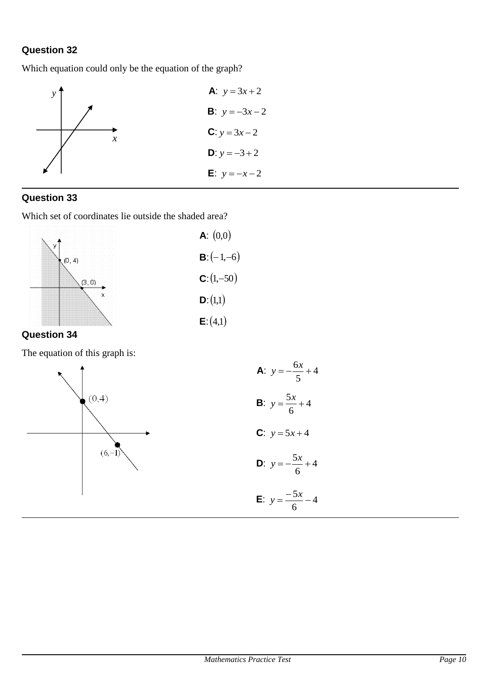Which equation could only be the equation of the graph?



## **Question 33**

Which set of coordinates lie outside the shaded area?



## **Question 34**

The equation of this graph is:

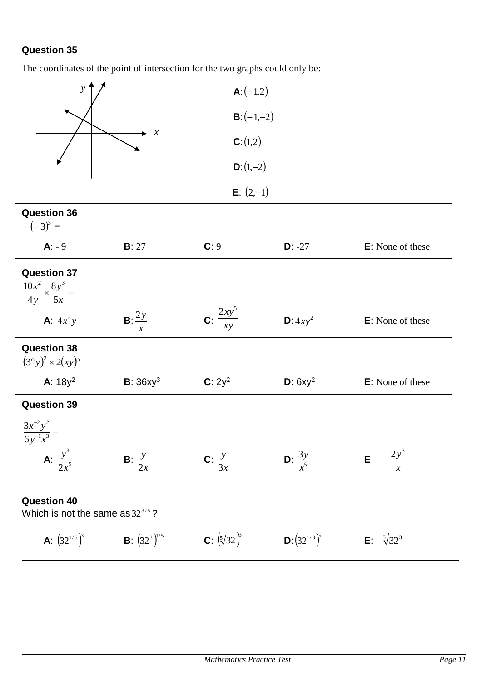The coordinates of the point of intersection for the two graphs could only be:

| $\boldsymbol{y}$                                                  |                                          | <b>A</b> : $(-1,2)$              |                             |                                       |
|-------------------------------------------------------------------|------------------------------------------|----------------------------------|-----------------------------|---------------------------------------|
|                                                                   |                                          | $B: (-1,-2)$                     |                             |                                       |
|                                                                   | $\boldsymbol{\chi}$                      | C: (1,2)                         |                             |                                       |
|                                                                   |                                          | $D: (1,-2)$                      |                             |                                       |
|                                                                   |                                          | <b>E</b> : $(2,-1)$              |                             |                                       |
| <b>Question 36</b><br>$-(-3)^3 =$                                 |                                          |                                  |                             |                                       |
| $A: -9$                                                           | B: 27                                    | C: 9                             | $D: -27$                    | E: None of these                      |
| <b>Question 37</b><br>$\frac{10x^2}{4y} \times \frac{8y^3}{5x} =$ |                                          |                                  |                             |                                       |
| <b>A</b> : $4x^2y$                                                | $B: \frac{2y}{2}$<br>$\boldsymbol{\chi}$ | C: $\frac{2xy^5}{xy}$            | $D: 4xy^2$                  | E: None of these                      |
| <b>Question 38</b><br>$(3°y)^2 \times 2(xy)^6$                    |                                          |                                  |                             |                                       |
| A: $18y^2$                                                        | <b>B</b> : $36xy^3$                      | $C: 2y^2$                        | D: $6xy^2$                  | E: None of these                      |
| <b>Question 39</b>                                                |                                          |                                  |                             |                                       |
| $\frac{3x^{-2}y^2}{6y^{-1}x^3} =$                                 |                                          |                                  |                             |                                       |
| <b>A</b> : $\frac{y^3}{2x^5}$                                     | <b>B</b> : $\frac{y}{2x}$                | C: $\frac{y}{3x}$                | <b>D</b> : $\frac{3y}{r^5}$ | $\frac{2y^3}{}$<br>E<br>$\mathcal{X}$ |
| <b>Question 40</b><br>Which is not the same as $32^{3/5}$ ?       |                                          |                                  |                             |                                       |
| <b>A</b> : $(32^{1/5})^3$                                         | <b>B</b> : $(32^3)^{1/5}$                | <b>C</b> : $(\sqrt[5]{32})^3$    | <b>D</b> : $(32^{1/3})^5$   | <b>E</b> : $\sqrt[5]{32^3}$           |
|                                                                   |                                          |                                  |                             |                                       |
|                                                                   |                                          |                                  |                             |                                       |
|                                                                   |                                          | <b>Mathematics Practice Test</b> |                             | Page 11                               |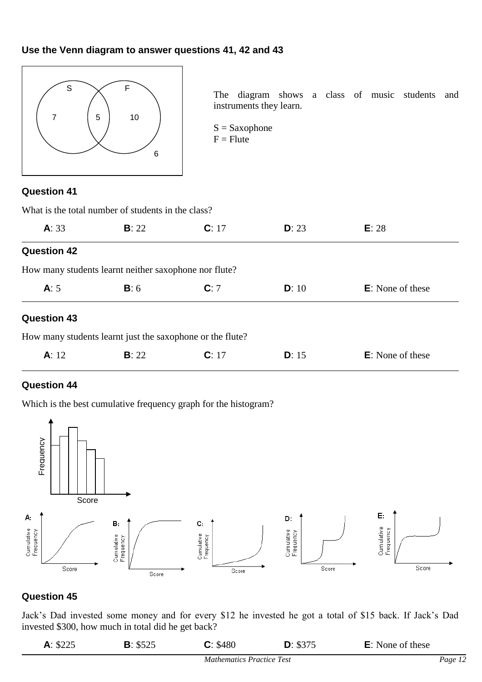#### **Use the Venn diagram to answer questions 41, 42 and 43**



The diagram shows a class of music students and instruments they learn.

 $S =$ Saxophone  $F =$  Flute

## **Question 41**

|                    | What is the total number of students in the class?        |       |       |                          |  |  |  |  |
|--------------------|-----------------------------------------------------------|-------|-------|--------------------------|--|--|--|--|
| A: 33              | B: 22                                                     | C: 17 | D: 23 | E: 28                    |  |  |  |  |
| <b>Question 42</b> |                                                           |       |       |                          |  |  |  |  |
|                    | How many students learnt neither saxophone nor flute?     |       |       |                          |  |  |  |  |
| A: 5               | B:6                                                       | C: 7  | D: 10 | <b>E</b> : None of these |  |  |  |  |
| <b>Question 43</b> |                                                           |       |       |                          |  |  |  |  |
|                    | How many students learnt just the saxophone or the flute? |       |       |                          |  |  |  |  |
| A: 12              | <b>B</b> : 22                                             | C: 17 | D: 15 | <b>E</b> : None of these |  |  |  |  |

#### **Question 44**

Which is the best cumulative frequency graph for the histogram?



## **Question 45**

Jack's Dad invested some money and for every \$12 he invested he got a total of \$15 back. If Jack's Dad invested \$300, how much in total did he get back?

| A: \$225 | <b>B</b> : $$525$ | C: \$480                         | D: \$375 | <b>E</b> : None of these |         |
|----------|-------------------|----------------------------------|----------|--------------------------|---------|
|          |                   | <b>Mathematics Practice Test</b> |          |                          | Page 12 |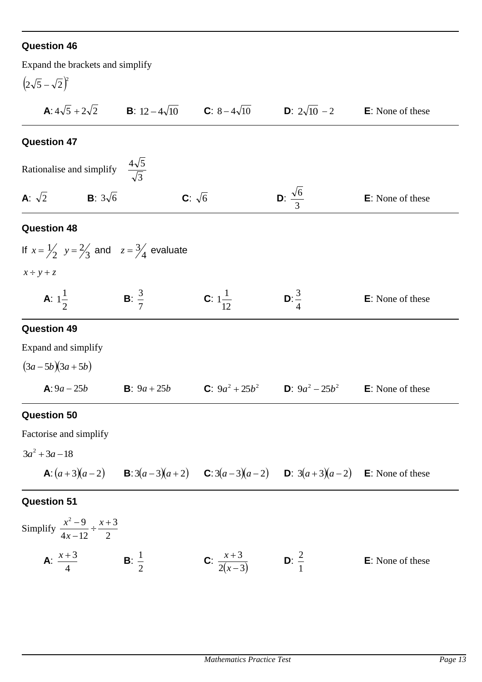| Expand the brackets and simplify                                        |                                                                                             |                                 |                                                                                                                             |                          |
|-------------------------------------------------------------------------|---------------------------------------------------------------------------------------------|---------------------------------|-----------------------------------------------------------------------------------------------------------------------------|--------------------------|
| $(2\sqrt{5}-\sqrt{2})^2$                                                |                                                                                             |                                 |                                                                                                                             |                          |
|                                                                         | <b>A</b> : $4\sqrt{5} + 2\sqrt{2}$ <b>B</b> : $12 - 4\sqrt{10}$ <b>C</b> : $8 - 4\sqrt{10}$ |                                 | <b>D</b> : $2\sqrt{10}$ – 2                                                                                                 | <b>E</b> : None of these |
| <b>Question 47</b>                                                      |                                                                                             |                                 |                                                                                                                             |                          |
| Rationalise and simplify                                                | $\frac{4\sqrt{5}}{\sqrt{3}}$                                                                |                                 |                                                                                                                             |                          |
| <b>A</b> : $\sqrt{2}$ <b>B</b> : $3\sqrt{6}$                            |                                                                                             | C: $\sqrt{6}$                   | <b>D</b> : $\frac{\sqrt{6}}{2}$                                                                                             | <b>E</b> : None of these |
| <b>Question 48</b>                                                      |                                                                                             |                                 |                                                                                                                             |                          |
| If $x = \frac{1}{2}$ , $y = \frac{2}{3}$ and $z = \frac{3}{4}$ evaluate |                                                                                             |                                 |                                                                                                                             |                          |
| $x \div y + z$                                                          |                                                                                             |                                 |                                                                                                                             |                          |
| <b>A</b> : $1\frac{1}{2}$                                               | <b>B</b> : $\frac{3}{7}$                                                                    | <b>C</b> : $1\frac{1}{12}$      | <b>D</b> : $\frac{3}{4}$                                                                                                    | <b>E</b> : None of these |
| <b>Question 49</b>                                                      |                                                                                             |                                 |                                                                                                                             |                          |
| Expand and simplify                                                     |                                                                                             |                                 |                                                                                                                             |                          |
| $(3a-5b)(3a+5b)$                                                        |                                                                                             |                                 |                                                                                                                             |                          |
| <b>A</b> : $9a - 25b$                                                   | <b>B</b> : $9a + 25b$                                                                       |                                 | <b>C</b> : $9a^2 + 25b^2$ <b>D</b> : $9a^2 - 25b^2$                                                                         | <b>E</b> : None of these |
| <b>Question 50</b>                                                      |                                                                                             |                                 |                                                                                                                             |                          |
| Factorise and simplify                                                  |                                                                                             |                                 |                                                                                                                             |                          |
| $3a^2 + 3a - 18$                                                        |                                                                                             |                                 |                                                                                                                             |                          |
|                                                                         |                                                                                             |                                 | <b>A</b> : $(a+3)(a-2)$ <b>B</b> : $3(a-3)(a+2)$ <b>C</b> : $3(a-3)(a-2)$ <b>D</b> : $3(a+3)(a-2)$ <b>E</b> : None of these |                          |
| <b>Question 51</b>                                                      |                                                                                             |                                 |                                                                                                                             |                          |
| Simplify $\frac{x^2-9}{4x-12} \div \frac{x+3}{2}$                       |                                                                                             |                                 |                                                                                                                             |                          |
| <b>A</b> : $\frac{x+3}{4}$                                              | <b>B</b> : $\frac{1}{2}$                                                                    | <b>C</b> : $\frac{x+3}{2(x-3)}$ | <b>D</b> : $\frac{2}{1}$                                                                                                    | <b>E</b> : None of these |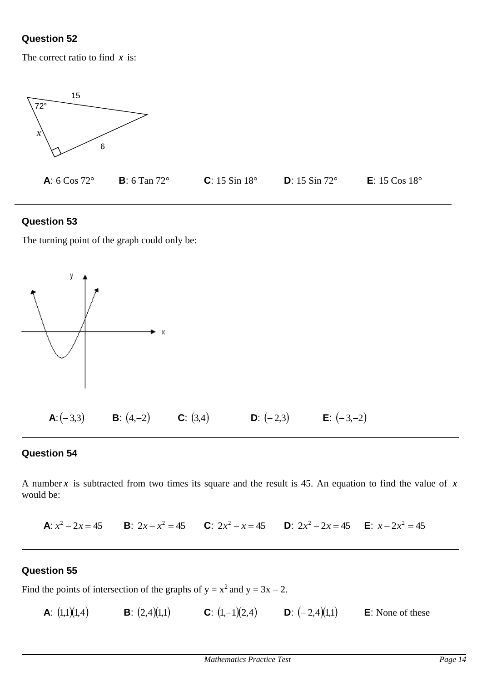The correct ratio to find *x* is:



## **Question 53**

The turning point of the graph could only be:



## **Question 54**

A number *x* is subtracted from two times its square and the result is 45. An equation to find the value of *x* would be:

**A**:  $x^2 - 2x = 45$  **B**:  $2x - x^2 = 45$  **C**:  $2x^2 - x = 45$  **D**:  $2x^2 - 2x = 45$  **E**:  $x - 2x^2 = 45$ 

#### **Question 55**

Find the points of intersection of the graphs of  $y = x^2$  and  $y = 3x - 2$ .

**A**:  $(1,1)(1,4)$ **B**:  $(2,4)(1,1)$  **C**:  $(1,-1)(2,4)$  **D**:  $(-2,4)(1,1)$  **E**: None of these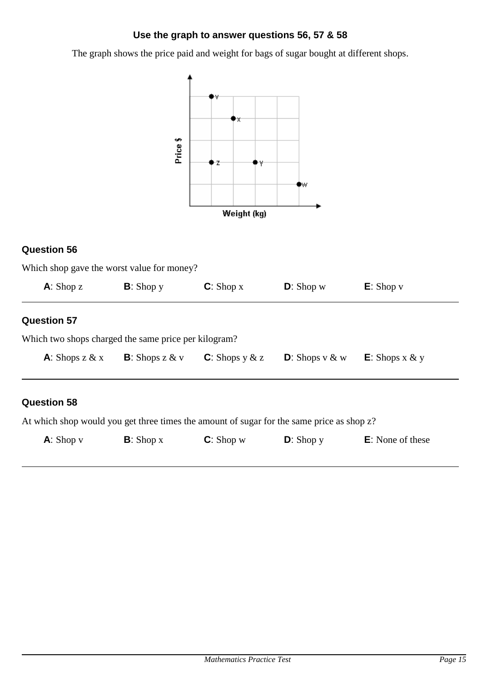## **Use the graph to answer questions 56, 57 & 58**

The graph shows the price paid and weight for bags of sugar bought at different shops.



## **Question 56**

| $\mathsf{A}$ : Shop z                                | $B:$ Shop y | $C:$ Shop x | $D$ : Shop w | $E:$ Shop $v$ |
|------------------------------------------------------|-------------|-------------|--------------|---------------|
| <b>Question 57</b>                                   |             |             |              |               |
| Which two shops charged the same price per kilogram? |             |             |              |               |
|                                                      |             |             |              |               |

At which shop would you get three times the amount of sugar for the same price as shop z?

| $A:$ Shop $v$ | $B:$ Shop x | $C:$ Shop w | $D:$ Shop y | <b>E</b> : None of these |
|---------------|-------------|-------------|-------------|--------------------------|
|               |             |             |             |                          |